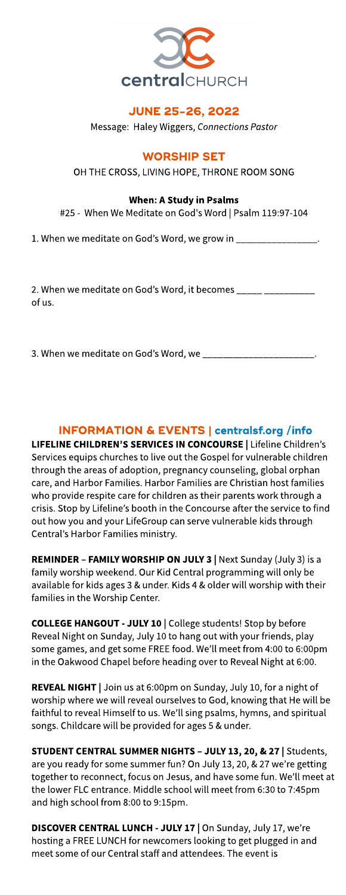

# **JUNE 25-26, 2022**

Message: Haley Wiggers, **ConnectionsPastor**

# **WORSHIP SET**

OH THE CROSS, LIVING HOPE, THRONE ROOM SONG

### When: AStudy in Psalms

#25 - When We Meditateon God'sWord | Psalm 119:97-104

1. When we meditate on God's Word, we grow in

2. When we meditate on God's Word, it becomes \_\_\_\_\_\_ of us.

3. When we meditate on God's Word, we \_\_\_\_

# INFORMATION& EVENTS| **[centralsf.org/info](http://centralsf.org/info)**

LIFELINE CHILDREN'S SERVICES IN CONCOURSE | Lifeline Children's Services equips churches to live out the Gospel for vulnerable children through the areas of adoption, pregnancy counseling, global orphan care, and Harbor Families. Harbor Families are Christian host families who provide respite care for children as their parents work through a crisis. Stop by Lifeline's booth in the Concourse after the service to find out how you and your LifeGroup can serve vulnerable kids through Central's Harbor Families ministry.

REMINDER - FAMILY WORSHIP ON JULY 3 | Next Sunday (July 3) is a family worship weekend. Our Kid Central programming will only be available for kids ages 3 & under. Kids 4 & older will worship with their families in the Worship Center.

COLLEGE HANGOUT - JULY 10 | College students! Stop by before Reveal Night on Sunday, July 10 to hang out with your friends, play some games, and get some FREE food. We'll meet from 4:00 to 6:00pm in the Oakwood Chapel before heading over to Reveal Night at 6:00.

REVEAL NIGHT | Join us at 6:00pm on Sunday, July 10, for a night of worship where we will reveal ourselves to God, knowing that He will be faithful to reveal Himself to us. We?ll sing psalms, hymns, and spiritual songs. Childcare will be provided for ages 5 & under.

STUDENT CENTRAL SUMMER NIGHTS - JULY 13, 20, & 27 | Students, are you ready for some summer fun? On July 13, 20, & 27 we're getting together to reconnect, focus on Jesus, and have some fun. We'll meet at the lower FLC entrance. Middle school will meet from 6:30 to 7:45pm and high school from 8:00 to 9:15pm.

DISCOVER CENTRAL LUNCH - JULY 17 | On Sunday, July 17, we're hosting a FREE LUNCH for newcomers looking to get plugged in and meet some of our Central staff and attendees. The event is